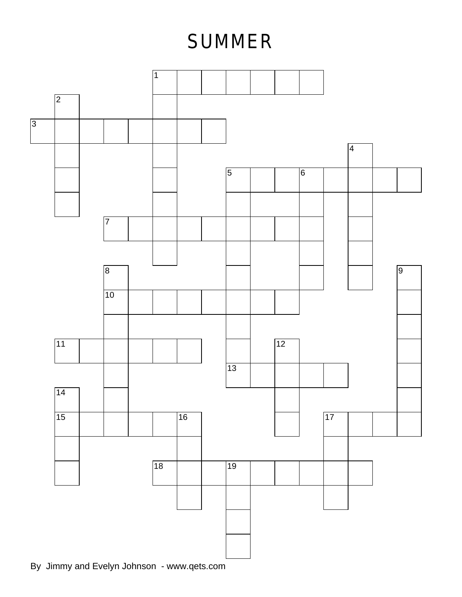## **SUMMER**

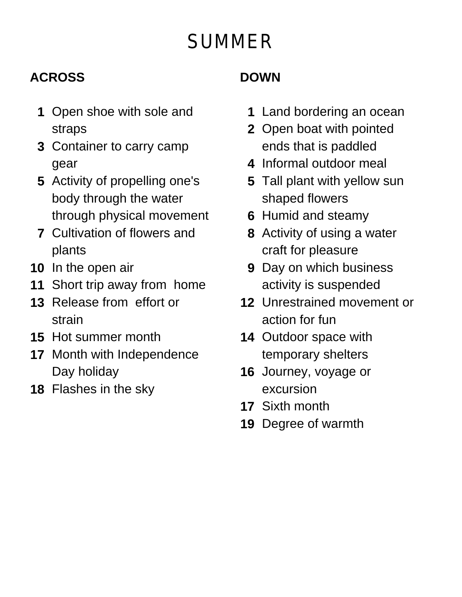# **SUMMER**

#### **ACROSS**

- **1** Open shoe with sole and straps
- **3** Container to carry camp gear
- **5** Activity of propelling one's body through the water through physical movement
- **7** Cultivation of flowers and plants
- **10** In the open air
- **11** Short trip away from home
- **13** Release from effort or strain
- **15** Hot summer month
- **17** Month with Independence Day holiday
- **18** Flashes in the sky

#### **DOWN**

- **1** Land bordering an ocean
- **2** Open boat with pointed ends that is paddled
- **4** Informal outdoor meal
- **5** Tall plant with yellow sun shaped flowers
- **6** Humid and steamy
- **8** Activity of using a water craft for pleasure
- **9** Day on which business activity is suspended
- **12** Unrestrained movement or action for fun
- **14** Outdoor space with temporary shelters
- **16** Journey, voyage or excursion
- **17** Sixth month
- **19** Degree of warmth